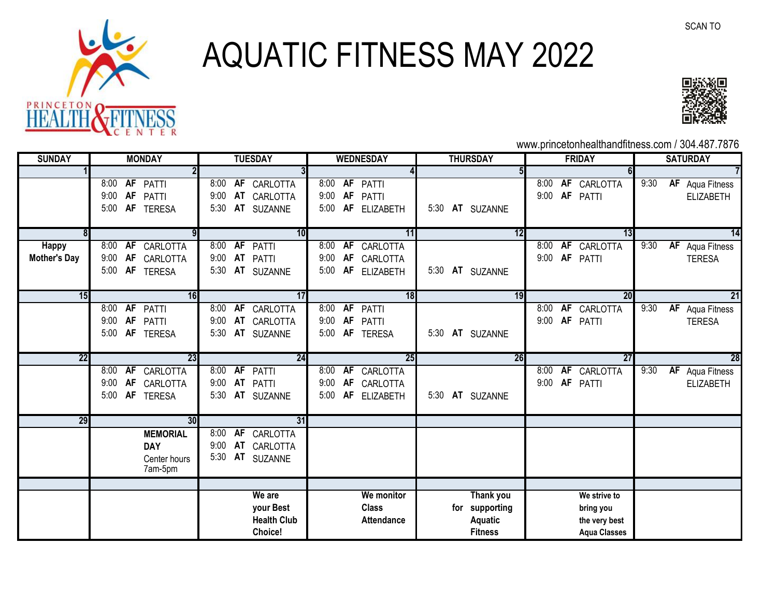

## AQUATIC FITNESS MAY 2022



www.princetonhealthandfitness.com / 304.487.7876

| <b>SUNDAY</b>       | <b>MONDAY</b> |           |                 | <b>TUESDAY</b> |           |                    | <b>WEDNESDAY</b> |           |                   | <b>THURSDAY</b> |  |                  | <b>FRIDAY</b> |    |                     | <b>SATURDAY</b> |    |                        |
|---------------------|---------------|-----------|-----------------|----------------|-----------|--------------------|------------------|-----------|-------------------|-----------------|--|------------------|---------------|----|---------------------|-----------------|----|------------------------|
|                     |               |           |                 |                |           |                    |                  |           |                   |                 |  |                  |               |    |                     |                 |    |                        |
|                     |               |           | 8:00 AF PATTI   |                |           | 8:00 AF CARLOTTA   |                  |           | 8:00 AF PATTI     |                 |  |                  | 8:00          |    | AF CARLOTTA         | 9:30            |    | <b>AF</b> Aqua Fitness |
|                     | 9:00          | AF        | PATTI           | 9:00           |           | AT CARLOTTA        |                  |           | 9:00 AF PATTI     |                 |  |                  | 9:00          | AF | PATTI               |                 |    | <b>ELIZABETH</b>       |
|                     | 5:00          |           | AF TERESA       | 5:30           |           | AT SUZANNE         |                  |           | 5:00 AF ELIZABETH |                 |  | 5:30 AT SUZANNE  |               |    |                     |                 |    |                        |
|                     |               |           |                 |                |           |                    |                  |           |                   |                 |  |                  |               |    |                     |                 |    |                        |
|                     |               |           |                 |                |           | 10                 |                  |           | 11                |                 |  | 12               |               |    | 13                  |                 |    | 14                     |
| <b>Happy</b>        | 8:00          | <b>AF</b> | CARLOTTA        |                |           | 8:00 AF PATTI      | 8:00             | AF        | CARLOTTA          |                 |  |                  | 8:00          |    | AF CARLOTTA         | 9:30            |    | AF Aqua Fitness        |
| <b>Mother's Day</b> | 9:00          | AF        | CARLOTTA        | 9:00           |           | AT PATTI           | 9:00             | AF        | CARLOTTA          |                 |  |                  | 9:00          |    | AF PATTI            |                 |    | <b>TERESA</b>          |
|                     | 5:00          |           | AF TERESA       |                |           | 5:30 AT SUZANNE    | 5:00             | AF        | <b>ELIZABETH</b>  |                 |  | 5:30 AT SUZANNE  |               |    |                     |                 |    |                        |
|                     |               |           |                 |                |           |                    |                  |           |                   |                 |  |                  |               |    |                     |                 |    |                        |
| 15                  |               |           | 16              |                |           | 17                 |                  |           | 18                |                 |  | 19               |               |    | 20                  |                 |    | 21                     |
|                     | 8:00          | AF        | PATTI           | 8:00           |           | AF CARLOTTA        |                  |           | 8:00 AF PATTI     |                 |  |                  | 8:00          |    | AF CARLOTTA         | 9:30            |    | AF Aqua Fitness        |
|                     | 9:00          | AF        | PATTI           | 9:00           |           | AT CARLOTTA        | 9:00             |           | AF PATTI          |                 |  |                  | 9:00          |    | AF PATTI            |                 |    | <b>TERESA</b>          |
|                     | 5:00          |           | AF TERESA       | 5:30           |           | AT SUZANNE         |                  |           | 5:00 AF TERESA    | 5:30            |  | AT SUZANNE       |               |    |                     |                 |    |                        |
|                     |               |           |                 |                |           |                    |                  |           |                   |                 |  |                  |               |    |                     |                 |    |                        |
| 22                  |               |           | 23              |                |           | 24                 |                  |           | 25                |                 |  | 26               |               |    | 27                  |                 |    | 28                     |
|                     | 8:00          | AF        | CARLOTTA        | 8:00           |           | <b>AF PATTI</b>    | 8:00             | <b>AF</b> | CARLOTTA          |                 |  |                  | 8:00          |    | AF CARLOTTA         | 9:30            | AF | Aqua Fitness           |
|                     | 9:00          | AF        | CARLOTTA        | 9:00           |           | AT PATTI           | 9:00             | AF        | CARLOTTA          |                 |  |                  | 9:00          |    | AF PATTI            |                 |    | <b>ELIZABETH</b>       |
|                     | 5:00          | AF        | <b>TERESA</b>   | 5:30           |           | AT SUZANNE         | 5:00             | AF        | <b>ELIZABETH</b>  |                 |  | 5:30 AT SUZANNE  |               |    |                     |                 |    |                        |
| 29                  |               |           | 30              |                |           | 31                 |                  |           |                   |                 |  |                  |               |    |                     |                 |    |                        |
|                     |               |           | <b>MEMORIAL</b> | 8:00           | <b>AF</b> | CARLOTTA           |                  |           |                   |                 |  |                  |               |    |                     |                 |    |                        |
|                     |               |           | <b>DAY</b>      | 9:00           |           | AT CARLOTTA        |                  |           |                   |                 |  |                  |               |    |                     |                 |    |                        |
|                     |               |           | Center hours    | 5:30           | AT        | <b>SUZANNE</b>     |                  |           |                   |                 |  |                  |               |    |                     |                 |    |                        |
|                     |               |           | 7am-5pm         |                |           |                    |                  |           |                   |                 |  |                  |               |    |                     |                 |    |                        |
|                     |               |           |                 |                |           |                    |                  |           |                   |                 |  |                  |               |    |                     |                 |    |                        |
|                     |               |           |                 |                |           | We are             |                  |           | We monitor        |                 |  | <b>Thank you</b> |               |    | We strive to        |                 |    |                        |
|                     |               |           |                 |                |           | your Best          |                  |           | <b>Class</b>      |                 |  | for supporting   |               |    | bring you           |                 |    |                        |
|                     |               |           |                 |                |           | <b>Health Club</b> |                  |           | <b>Attendance</b> |                 |  | <b>Aquatic</b>   |               |    | the very best       |                 |    |                        |
|                     |               |           |                 |                |           | Choice!            |                  |           |                   |                 |  | <b>Fitness</b>   |               |    | <b>Aqua Classes</b> |                 |    |                        |